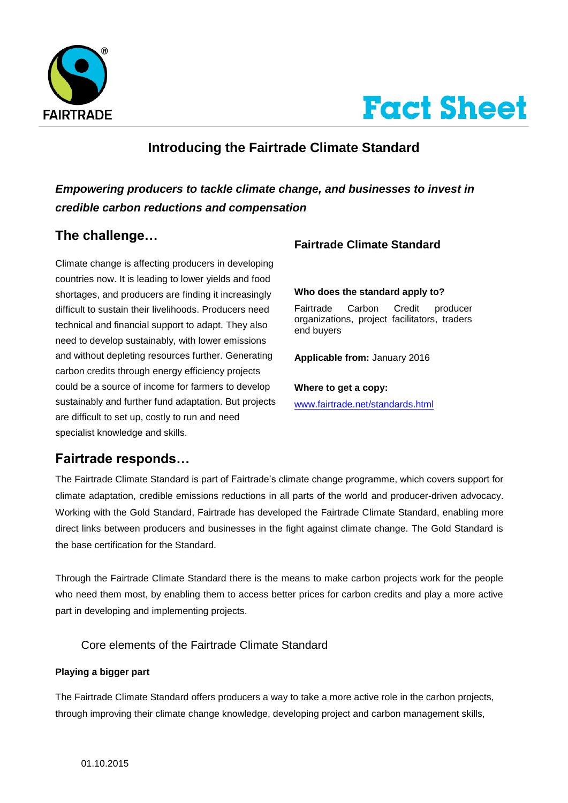



# **Introducing the Fairtrade Climate Standard**

## *Empowering producers to tackle climate change, and businesses to invest in credible carbon reductions and compensation*

# **The challenge…**

Climate change is affecting producers in developing countries now. It is leading to lower yields and food shortages, and producers are finding it increasingly difficult to sustain their livelihoods. Producers need technical and financial support to adapt. They also need to develop sustainably, with lower emissions and without depleting resources further. Generating carbon credits through energy efficiency projects could be a source of income for farmers to develop sustainably and further fund adaptation. But projects are difficult to set up, costly to run and need specialist knowledge and skills.

## **Fairtrade Climate Standard**

#### **Who does the standard apply to?**

Fairtrade Carbon Credit producer organizations, project facilitators, traders end buyers

**Applicable from:** January 2016

#### **Where to get a copy:**

[www.fairtrade.net/standards.html](http://www.fairtrade.net/standards.html)

## **Fairtrade responds…**

The Fairtrade Climate Standard is part of Fairtrade's climate change programme, which covers support for climate adaptation, credible emissions reductions in all parts of the world and producer-driven advocacy. Working with the Gold Standard, Fairtrade has developed the Fairtrade Climate Standard, enabling more direct links between producers and businesses in the fight against climate change. The Gold Standard is the base certification for the Standard.

Through the Fairtrade Climate Standard there is the means to make carbon projects work for the people who need them most, by enabling them to access better prices for carbon credits and play a more active part in developing and implementing projects.

#### Core elements of the Fairtrade Climate Standard

#### **Playing a bigger part**

The Fairtrade Climate Standard offers producers a way to take a more active role in the carbon projects, through improving their climate change knowledge, developing project and carbon management skills,